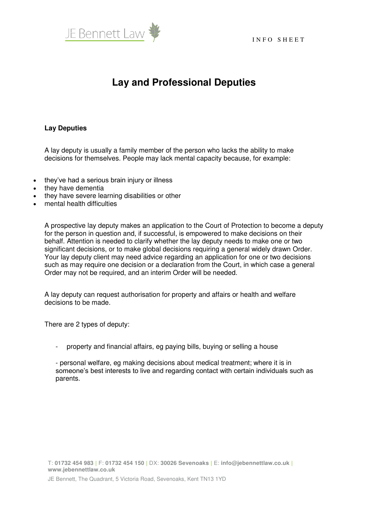

## **Lay and Professional Deputies**

## **Lay Deputies**

A lay deputy is usually a family member of the person who lacks the ability to make decisions for themselves. People may lack mental capacity because, for example:

- they've had a serious brain injury or illness
- they have dementia
- they have severe learning disabilities or other
- mental health difficulties

A prospective lay deputy makes an application to the Court of Protection to become a deputy for the person in question and, if successful, is empowered to make decisions on their behalf. Attention is needed to clarify whether the lay deputy needs to make one or two significant decisions, or to make global decisions requiring a general widely drawn Order. Your lay deputy client may need advice regarding an application for one or two decisions such as may require one decision or a declaration from the Court, in which case a general Order may not be required, and an interim Order will be needed.

A lay deputy can request authorisation for property and affairs or health and welfare decisions to be made.

There are 2 types of deputy:

property and financial affairs, eg paying bills, buying or selling a house

- personal welfare, eg making decisions about medical treatment; where it is in someone's best interests to live and regarding contact with certain individuals such as parents.

T: **01732 454 983 |** F: **01732 454 150 |** DX: **30026 Sevenoaks |** E: **info@jebennettlaw.co.uk | www.jebennettlaw.co.uk**

JE Bennett, The Quadrant, 5 Victoria Road, Sevenoaks, Kent TN13 1YD